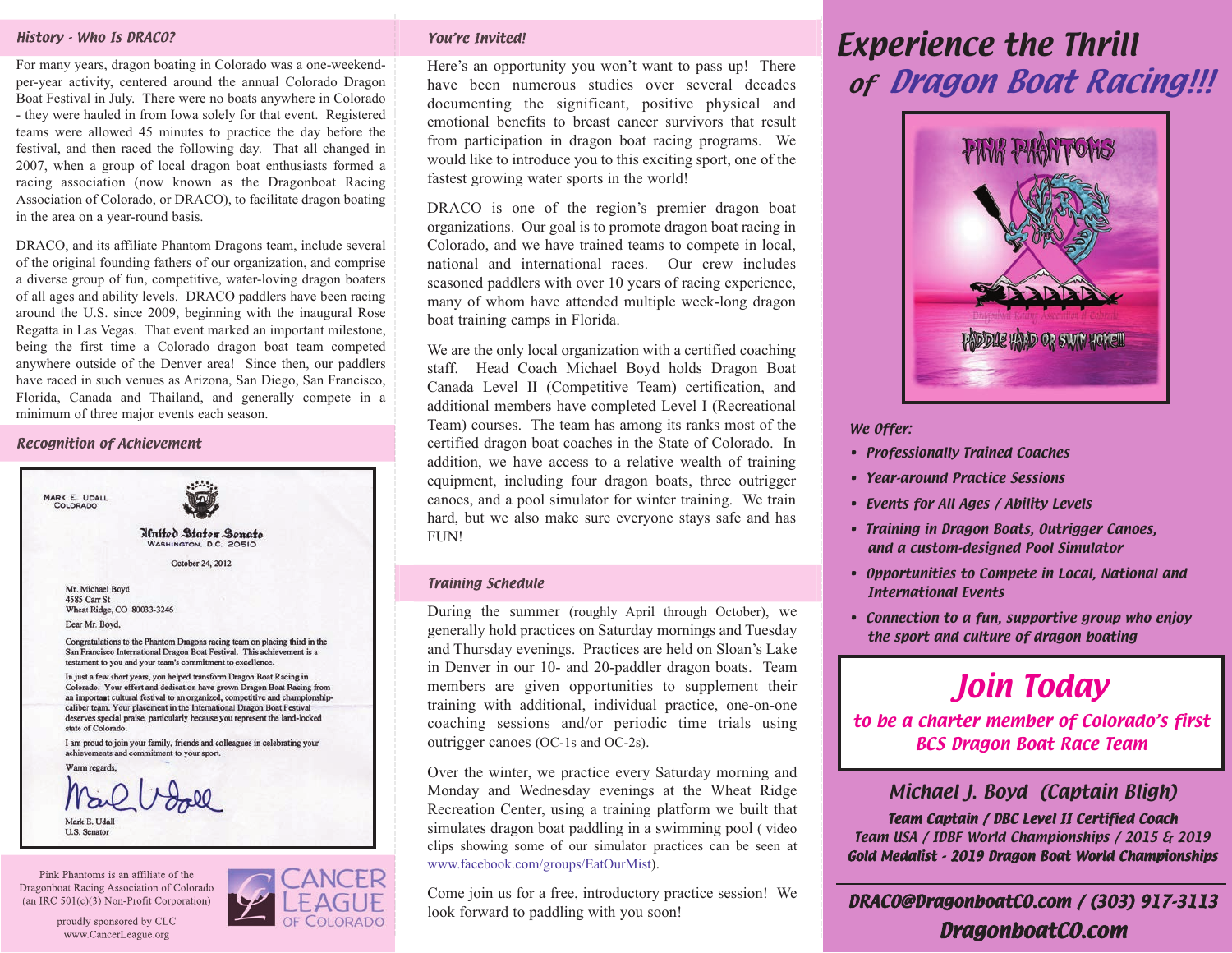### History - Who Is DRACO?

For many years, dragon boating in Colorado was a one-weekendper-year activity, centered around the annual Colorado Dragon Boat Festival in July. There were no boats anywhere in Colorado - they were hauled in from Iowa solely for that event. Registered teams were allowed 45 minutes to practice the day before the festival, and then raced the following day. That all changed in 2007, when a group of local dragon boat enthusiasts formed a racing association (now known as the Dragonboat Racing Association of Colorado, or DRACO), to facilitate dragon boating in the area on a year-round basis.

DRACO, and its affiliate Phantom Dragons team, include several of the original founding fathers of our organization, and comprise a diverse group of fun, competitive, water-loving dragon boaters of all ages and ability levels. DRACO paddlers have been racing around the U.S. since 2009, beginning with the inaugural Rose Regatta in Las Vegas. That event marked an important milestone, being the first time a Colorado dragon boat team competed anywhere outside of the Denver area! Since then, our paddlers have raced in such venues as Arizona, San Diego, San Francisco, Florida, Canada and Thailand, and generally compete in a minimum of three major events each season.

### Recognition of Achievement



Pink Phantoms is an affiliate of the Dragonboat Racing Association of Colorado (an IRC 501(c)(3) Non-Profit Corporation)





### You're Invited!

Here's an opportunity you won't want to pass up! There have been numerous studies over several decades documenting the significant, positive physical and emotional benefits to breast cancer survivors that result from participation in dragon boat racing programs. We would like to introduce you to this exciting sport, one of the fastest growing water sports in the world!

DRACO is one of the region's premier dragon boat organizations. Our goal is to promote dragon boat racing in Colorado, and we have trained teams to compete in local, national and international races. Our crew includes seasoned paddlers with over 10 years of racing experience, many of whom have attended multiple week-long dragon boat training camps in Florida.

We are the only local organization with a certified coaching staff. Head Coach Michael Boyd holds Dragon Boat Canada Level II (Competitive Team) certification, and additional members have completed Level I (Recreational Team) courses. The team has among its ranks most of the certified dragon boat coaches in the State of Colorado. In addition, we have access to a relative wealth of training equipment, including four dragon boats, three outrigger canoes, and a pool simulator for winter training. We train hard, but we also make sure everyone stays safe and has FUN!

### Training Schedule

During the summer (roughly April through October), we generally hold practices on Saturday mornings and Tuesday and Thursday evenings. Practices are held on Sloan's Lake in Denver in our 10- and 20-paddler dragon boats. Team members are given opportunities to supplement their training with additional, individual practice, one-on-one coaching sessions and/or periodic time trials using outrigger canoes (OC-1s and OC-2s).

Over the winter, we practice every Saturday morning and Monday and Wednesday evenings at the Wheat Ridge Recreation Center, using a training platform we built that simulates dragon boat paddling in a swimming pool ( video clips showing some of our simulator practices can be seen at www.facebook.com/groups/EatOurMist).

Come join us for a free, introductory practice session! We look forward to paddling with you soon!

# Experience the Thrill of Dragon Boat Racing!!!



#### We Offer:

- Professionally Trained Coaches
- Year-around Practice Sessions
- Events for All Ages / Ability Levels
- Training in Dragon Boats, Outrigger Canoes, and a custom-designed Pool Simulator
- Opportunities to Compete in Local, National and International Events
- Connection to a fun, supportive group who enjoy the sport and culture of dragon boating

## Join Today

to be a charter member of Colorado's first BCS Dragon Boat Race Team

### Michael J. Boyd (Captain Bligh)

Team Captain / DBC Level II Certified Coach Team USA / IDBF World Championships / 2015 & 2019 Gold Medalist - 2019 Dragon Boat World Championships

DRACO@DragonboatCO.com / (303) 917-3113 DragonboatCO.com